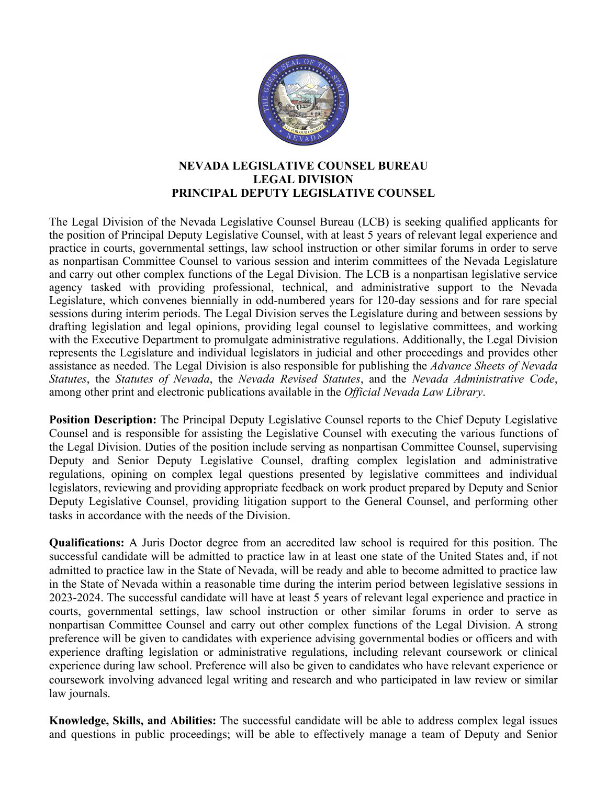

## **NEVADA LEGISLATIVE COUNSEL BUREAU LEGAL DIVISION PRINCIPAL DEPUTY LEGISLATIVE COUNSEL**

The Legal Division of the Nevada Legislative Counsel Bureau (LCB) is seeking qualified applicants for the position of Principal Deputy Legislative Counsel, with at least 5 years of relevant legal experience and practice in courts, governmental settings, law school instruction or other similar forums in order to serve as nonpartisan Committee Counsel to various session and interim committees of the Nevada Legislature and carry out other complex functions of the Legal Division. The LCB is a nonpartisan legislative service agency tasked with providing professional, technical, and administrative support to the Nevada Legislature, which convenes biennially in odd-numbered years for 120-day sessions and for rare special sessions during interim periods. The Legal Division serves the Legislature during and between sessions by drafting legislation and legal opinions, providing legal counsel to legislative committees, and working with the Executive Department to promulgate administrative regulations. Additionally, the Legal Division represents the Legislature and individual legislators in judicial and other proceedings and provides other assistance as needed. The Legal Division is also responsible for publishing the *Advance Sheets of Nevada Statutes*, the *Statutes of Nevada*, the *Nevada Revised Statutes*, and the *Nevada Administrative Code*, among other print and electronic publications available in the *Official Nevada Law Library*.

**Position Description:** The Principal Deputy Legislative Counsel reports to the Chief Deputy Legislative Counsel and is responsible for assisting the Legislative Counsel with executing the various functions of the Legal Division. Duties of the position include serving as nonpartisan Committee Counsel, supervising Deputy and Senior Deputy Legislative Counsel, drafting complex legislation and administrative regulations, opining on complex legal questions presented by legislative committees and individual legislators, reviewing and providing appropriate feedback on work product prepared by Deputy and Senior Deputy Legislative Counsel, providing litigation support to the General Counsel, and performing other tasks in accordance with the needs of the Division.

**Qualifications:** A Juris Doctor degree from an accredited law school is required for this position. The successful candidate will be admitted to practice law in at least one state of the United States and, if not admitted to practice law in the State of Nevada, will be ready and able to become admitted to practice law in the State of Nevada within a reasonable time during the interim period between legislative sessions in 2023-2024. The successful candidate will have at least 5 years of relevant legal experience and practice in courts, governmental settings, law school instruction or other similar forums in order to serve as nonpartisan Committee Counsel and carry out other complex functions of the Legal Division. A strong preference will be given to candidates with experience advising governmental bodies or officers and with experience drafting legislation or administrative regulations, including relevant coursework or clinical experience during law school. Preference will also be given to candidates who have relevant experience or coursework involving advanced legal writing and research and who participated in law review or similar law journals.

**Knowledge, Skills, and Abilities:** The successful candidate will be able to address complex legal issues and questions in public proceedings; will be able to effectively manage a team of Deputy and Senior